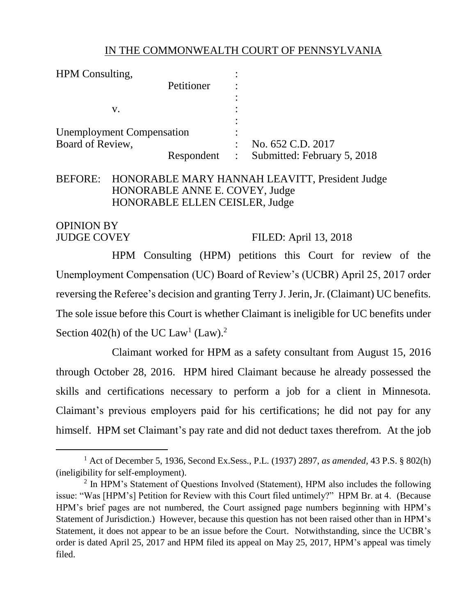#### IN THE COMMONWEALTH COURT OF PENNSYLVANIA

| HPM Consulting,                  |            |                |                             |
|----------------------------------|------------|----------------|-----------------------------|
|                                  | Petitioner |                |                             |
|                                  |            |                |                             |
| v.                               |            |                |                             |
|                                  |            |                |                             |
| <b>Unemployment Compensation</b> |            |                |                             |
| Board of Review,                 |            |                | No. 652 C.D. 2017           |
|                                  | Respondent | $\mathbb{R}^n$ | Submitted: February 5, 2018 |

## BEFORE: HONORABLE MARY HANNAH LEAVITT, President Judge HONORABLE ANNE E. COVEY, Judge HONORABLE ELLEN CEISLER, Judge

# OPINION BY

 $\overline{a}$ 

#### JUDGE COVEY FILED: April 13, 2018

HPM Consulting (HPM) petitions this Court for review of the Unemployment Compensation (UC) Board of Review's (UCBR) April 25, 2017 order reversing the Referee's decision and granting Terry J. Jerin, Jr. (Claimant) UC benefits. The sole issue before this Court is whether Claimant is ineligible for UC benefits under Section 402(h) of the UC Law<sup>1</sup> (Law).<sup>2</sup>

Claimant worked for HPM as a safety consultant from August 15, 2016 through October 28, 2016. HPM hired Claimant because he already possessed the skills and certifications necessary to perform a job for a client in Minnesota. Claimant's previous employers paid for his certifications; he did not pay for any himself. HPM set Claimant's pay rate and did not deduct taxes therefrom. At the job

<sup>1</sup> Act of December 5, 1936, Second Ex.Sess., P.L. (1937) 2897, *as amended,* 43 P.S. § 802(h) (ineligibility for self-employment).

 $2$  In HPM's Statement of Questions Involved (Statement), HPM also includes the following issue: "Was [HPM's] Petition for Review with this Court filed untimely?" HPM Br. at 4. (Because HPM's brief pages are not numbered, the Court assigned page numbers beginning with HPM's Statement of Jurisdiction.) However, because this question has not been raised other than in HPM's Statement, it does not appear to be an issue before the Court. Notwithstanding, since the UCBR's order is dated April 25, 2017 and HPM filed its appeal on May 25, 2017, HPM's appeal was timely filed.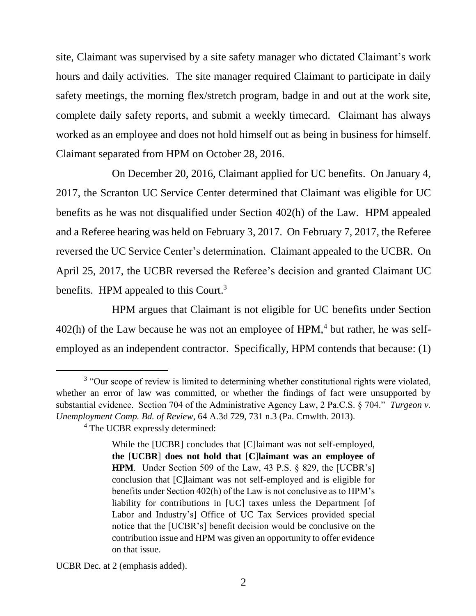site, Claimant was supervised by a site safety manager who dictated Claimant's work hours and daily activities. The site manager required Claimant to participate in daily safety meetings, the morning flex/stretch program, badge in and out at the work site, complete daily safety reports, and submit a weekly timecard. Claimant has always worked as an employee and does not hold himself out as being in business for himself. Claimant separated from HPM on October 28, 2016.

On December 20, 2016, Claimant applied for UC benefits. On January 4, 2017, the Scranton UC Service Center determined that Claimant was eligible for UC benefits as he was not disqualified under Section 402(h) of the Law. HPM appealed and a Referee hearing was held on February 3, 2017. On February 7, 2017, the Referee reversed the UC Service Center's determination. Claimant appealed to the UCBR. On April 25, 2017, the UCBR reversed the Referee's decision and granted Claimant UC benefits. HPM appealed to this Court.<sup>3</sup>

HPM argues that Claimant is not eligible for UC benefits under Section  $402(h)$  of the Law because he was not an employee of HPM,<sup>4</sup> but rather, he was selfemployed as an independent contractor. Specifically, HPM contends that because: (1)

 $\overline{a}$ 

UCBR Dec. at 2 (emphasis added).

 $3$  "Our scope of review is limited to determining whether constitutional rights were violated, whether an error of law was committed, or whether the findings of fact were unsupported by substantial evidence. Section 704 of the Administrative Agency Law, 2 Pa.C.S. § 704." *Turgeon v. Unemployment Comp. Bd. of Review*, 64 A.3d 729, 731 n.3 (Pa. Cmwlth. 2013).

<sup>4</sup> The UCBR expressly determined:

While the [UCBR] concludes that [C]laimant was not self-employed, **the** [**UCBR**] **does not hold that** [**C**]**laimant was an employee of HPM**. Under Section 509 of the Law, 43 P.S. § 829, the [UCBR's] conclusion that [C]laimant was not self-employed and is eligible for benefits under Section 402(h) of the Law is not conclusive as to HPM's liability for contributions in [UC] taxes unless the Department [of Labor and Industry's] Office of UC Tax Services provided special notice that the [UCBR's] benefit decision would be conclusive on the contribution issue and HPM was given an opportunity to offer evidence on that issue.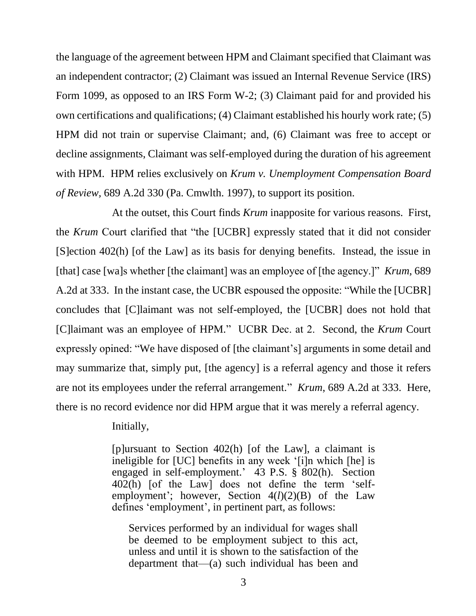the language of the agreement between HPM and Claimant specified that Claimant was an independent contractor; (2) Claimant was issued an Internal Revenue Service (IRS) Form 1099, as opposed to an IRS Form W-2; (3) Claimant paid for and provided his own certifications and qualifications; (4) Claimant established his hourly work rate; (5) HPM did not train or supervise Claimant; and, (6) Claimant was free to accept or decline assignments, Claimant was self-employed during the duration of his agreement with HPM. HPM relies exclusively on *Krum v. Unemployment Compensation Board of Review,* 689 A.2d 330 (Pa. Cmwlth. 1997), to support its position.

At the outset, this Court finds *Krum* inapposite for various reasons. First, the *Krum* Court clarified that "the [UCBR] expressly stated that it did not consider [S]ection 402(h) [of the Law] as its basis for denying benefits. Instead, the issue in [that] case [wa]s whether [the claimant] was an employee of [the agency.]" *Krum*, 689 A.2d at 333. In the instant case, the UCBR espoused the opposite: "While the [UCBR] concludes that [C]laimant was not self-employed, the [UCBR] does not hold that [C]laimant was an employee of HPM." UCBR Dec. at 2. Second, the *Krum* Court expressly opined: "We have disposed of [the claimant's] arguments in some detail and may summarize that, simply put, [the agency] is a referral agency and those it refers are not its employees under the referral arrangement." *Krum*, 689 A.2d at 333. Here, there is no record evidence nor did HPM argue that it was merely a referral agency.

Initially,

[p]ursuant to Section 402(h) [of the Law], a claimant is ineligible for [UC] benefits in any week '[i]n which [he] is engaged in self-employment.' 43 P.S. § 802(h). Section 402(h) [of the Law] does not define the term 'selfemployment'; however, Section 4(*l*)(2)(B) of the Law defines 'employment', in pertinent part, as follows:

Services performed by an individual for wages shall be deemed to be employment subject to this act, unless and until it is shown to the satisfaction of the department that—(a) such individual has been and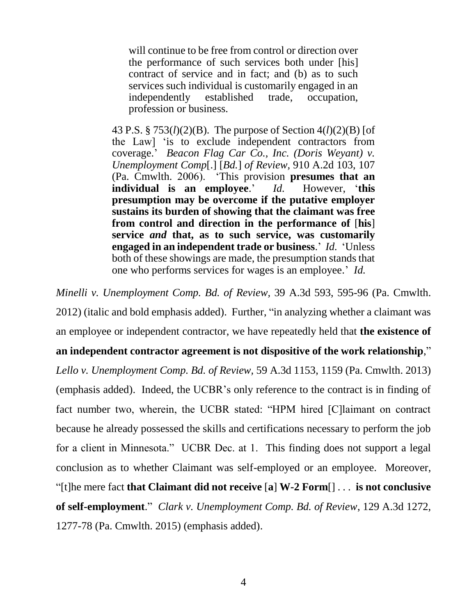will continue to be free from control or direction over the performance of such services both under [his] contract of service and in fact; and (b) as to such services such individual is customarily engaged in an independently established trade, occupation, profession or business.

43 P.S. § 753(*l*)(2)(B). The purpose of Section 4(*l*)(2)(B) [of the Law] 'is to exclude independent contractors from coverage.' *Beacon Flag Car Co., Inc. (Doris Weyant) v. Unemployment Comp*[.] [*Bd.*] *of Review,* 910 A.2d 103, 107 (Pa. Cmwlth. 2006). 'This provision **presumes that an individual is an employee**.' *Id.* However, '**this presumption may be overcome if the putative employer sustains its burden of showing that the claimant was free from control and direction in the performance of** [**his**] **service** *and* **that, as to such service, was customarily engaged in an independent trade or business**.' *Id.* 'Unless both of these showings are made, the presumption stands that one who performs services for wages is an employee.' *Id.*

*Minelli v. Unemployment Comp. Bd. of Review,* 39 A.3d 593, 595-96 (Pa. Cmwlth. 2012) (italic and bold emphasis added). Further, "in analyzing whether a claimant was an employee or independent contractor, we have repeatedly held that **the existence of** 

#### **an independent contractor agreement is not dispositive of the work relationship**,"

*Lello v. Unemployment Comp. Bd. of Review,* 59 A.3d 1153, 1159 (Pa. Cmwlth. 2013) (emphasis added). Indeed, the UCBR's only reference to the contract is in finding of fact number two, wherein, the UCBR stated: "HPM hired [C]laimant on contract because he already possessed the skills and certifications necessary to perform the job for a client in Minnesota." UCBR Dec. at 1. This finding does not support a legal conclusion as to whether Claimant was self-employed or an employee. Moreover, "[t]he mere fact **that Claimant did not receive** [**a**] **W-2 Form**[] . . . **is not conclusive of self-employment**." *Clark v. Unemployment Comp. Bd. of Review*, 129 A.3d 1272, 1277-78 (Pa. Cmwlth. 2015) (emphasis added).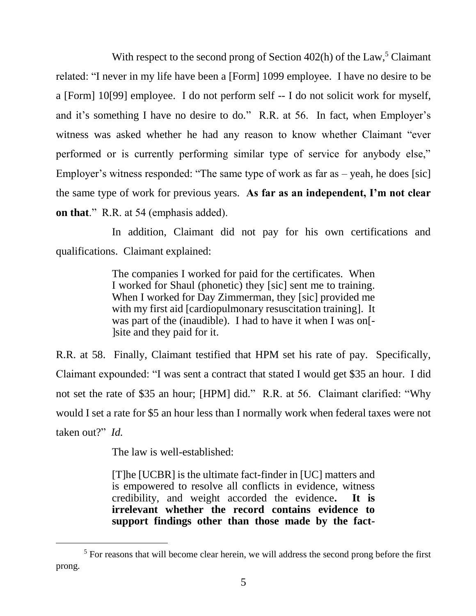With respect to the second prong of Section 402(h) of the Law,<sup>5</sup> Claimant related: "I never in my life have been a [Form] 1099 employee. I have no desire to be a [Form] 10[99] employee. I do not perform self -- I do not solicit work for myself, and it's something I have no desire to do." R.R. at 56. In fact, when Employer's witness was asked whether he had any reason to know whether Claimant "ever performed or is currently performing similar type of service for anybody else," Employer's witness responded: "The same type of work as far as – yeah, he does [sic] the same type of work for previous years. **As far as an independent, I'm not clear on that**." R.R. at 54 (emphasis added).

In addition, Claimant did not pay for his own certifications and qualifications. Claimant explained:

> The companies I worked for paid for the certificates. When I worked for Shaul (phonetic) they [sic] sent me to training. When I worked for Day Zimmerman, they [sic] provided me with my first aid [cardiopulmonary resuscitation training]. It was part of the (inaudible). I had to have it when I was on[- ]site and they paid for it.

R.R. at 58. Finally, Claimant testified that HPM set his rate of pay. Specifically, Claimant expounded: "I was sent a contract that stated I would get \$35 an hour. I did not set the rate of \$35 an hour; [HPM] did." R.R. at 56. Claimant clarified: "Why would I set a rate for \$5 an hour less than I normally work when federal taxes were not taken out?" *Id.*

The law is well-established:

 $\overline{a}$ 

[T]he [UCBR] is the ultimate fact-finder in [UC] matters and is empowered to resolve all conflicts in evidence, witness credibility, and weight accorded the evidence**. It is irrelevant whether the record contains evidence to support findings other than those made by the fact-**

 $<sup>5</sup>$  For reasons that will become clear herein, we will address the second prong before the first</sup> prong.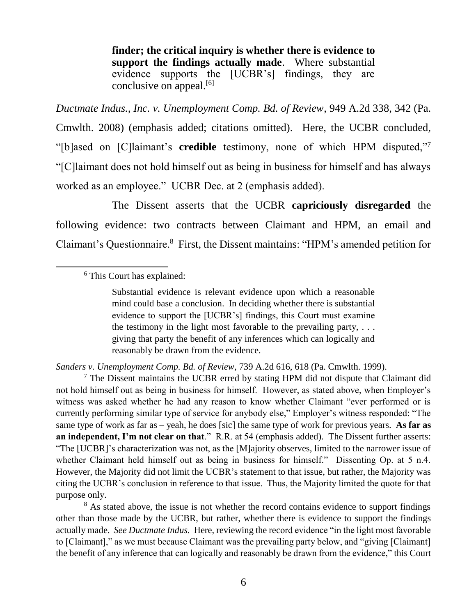**finder; the critical inquiry is whether there is evidence to support the findings actually made**. Where substantial evidence supports the [UCBR's] findings, they are conclusive on appeal. $[6]$ 

*Ductmate Indus., Inc. v. Unemployment Comp. Bd. of Review*, 949 A.2d 338, 342 (Pa. Cmwlth. 2008) (emphasis added; citations omitted). Here, the UCBR concluded, "[b]ased on [C]laimant's **credible** testimony, none of which HPM disputed,"<sup>7</sup> "[C]laimant does not hold himself out as being in business for himself and has always worked as an employee." UCBR Dec. at 2 (emphasis added).

The Dissent asserts that the UCBR **capriciously disregarded** the following evidence: two contracts between Claimant and HPM, an email and Claimant's Questionnaire.<sup>8</sup> First, the Dissent maintains: "HPM's amended petition for

 $\overline{a}$ 

*Sanders v. Unemployment Comp. Bd. of Review*, 739 A.2d 616, 618 (Pa. Cmwlth. 1999).

 $<sup>7</sup>$  The Dissent maintains the UCBR erred by stating HPM did not dispute that Claimant did</sup> not hold himself out as being in business for himself. However, as stated above, when Employer's witness was asked whether he had any reason to know whether Claimant "ever performed or is currently performing similar type of service for anybody else," Employer's witness responded: "The same type of work as far as – yeah, he does [sic] the same type of work for previous years. **As far as an independent, I'm not clear on that**." R.R. at 54 (emphasis added). The Dissent further asserts: "The [UCBR]'s characterization was not, as the [M]ajority observes, limited to the narrower issue of whether Claimant held himself out as being in business for himself." Dissenting Op. at 5 n.4. However, the Majority did not limit the UCBR's statement to that issue, but rather, the Majority was citing the UCBR's conclusion in reference to that issue. Thus, the Majority limited the quote for that purpose only.

<sup>8</sup> As stated above, the issue is not whether the record contains evidence to support findings other than those made by the UCBR, but rather, whether there is evidence to support the findings actually made. *See Ductmate Indus.* Here, reviewing the record evidence "in the light most favorable to [Claimant]," as we must because Claimant was the prevailing party below, and "giving [Claimant] the benefit of any inference that can logically and reasonably be drawn from the evidence," this Court

<sup>6</sup> This Court has explained:

Substantial evidence is relevant evidence upon which a reasonable mind could base a conclusion. In deciding whether there is substantial evidence to support the [UCBR's] findings, this Court must examine the testimony in the light most favorable to the prevailing party,  $\dots$ giving that party the benefit of any inferences which can logically and reasonably be drawn from the evidence.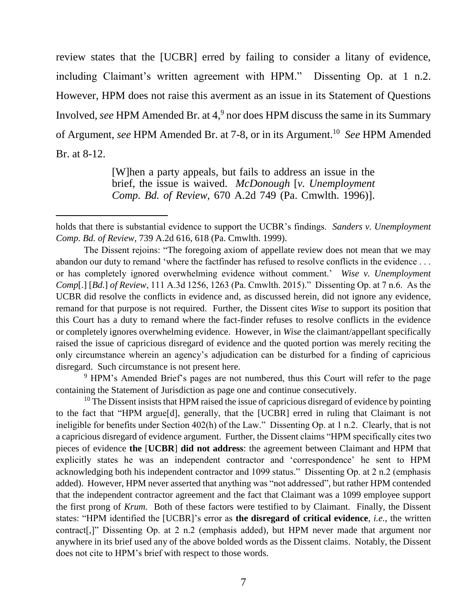review states that the [UCBR] erred by failing to consider a litany of evidence, including Claimant's written agreement with HPM." Dissenting Op. at 1 n.2. However, HPM does not raise this averment as an issue in its Statement of Questions Involved, *see* HPM Amended Br. at 4,<sup>9</sup> nor does HPM discuss the same in its Summary of Argument, *see* HPM Amended Br. at 7-8, or in its Argument.<sup>10</sup> See HPM Amended Br. at 8-12.

> [W]hen a party appeals, but fails to address an issue in the brief, the issue is waived. *McDonough* [*[v. Unemployment](https://1.next.westlaw.com/Link/Document/FullText?findType=Y&serNum=1996038734&originatingDoc=I84d941650ceb11dbaaf9821ce89a3430&refType=RP&originationContext=document&transitionType=DocumentItem&contextData=(sc.Keycite))  Comp. Bd. of Review,* [670 A.2d 749 \(Pa. Cmwlth. 1996\)\].](https://1.next.westlaw.com/Link/Document/FullText?findType=Y&serNum=1996038734&originatingDoc=I84d941650ceb11dbaaf9821ce89a3430&refType=RP&originationContext=document&transitionType=DocumentItem&contextData=(sc.Keycite))

 $\overline{a}$ 

The Dissent rejoins: "The foregoing axiom of appellate review does not mean that we may abandon our duty to remand 'where the factfinder has refused to resolve conflicts in the evidence . . . or has completely ignored overwhelming evidence without comment.' *Wise v. Unemployment Comp*[.] [*Bd.*] *of Review*, 111 A.3d 1256, 1263 (Pa. Cmwlth. 2015)." Dissenting Op. at 7 n.6. As the UCBR did resolve the conflicts in evidence and, as discussed herein, did not ignore any evidence, remand for that purpose is not required. Further, the Dissent cites *Wise* to support its position that this Court has a duty to remand where the fact-finder refuses to resolve conflicts in the evidence or completely ignores overwhelming evidence. However, in *Wise* the claimant/appellant specifically raised the issue of capricious disregard of evidence and the quoted portion was merely reciting the only circumstance wherein an agency's adjudication can be disturbed for a finding of capricious disregard. Such circumstance is not present here.

<sup>9</sup> HPM's Amended Brief's pages are not numbered, thus this Court will refer to the page containing the Statement of Jurisdiction as page one and continue consecutively.

 $10$  The Dissent insists that HPM raised the issue of capricious disregard of evidence by pointing to the fact that "HPM argue[d], generally, that the [UCBR] erred in ruling that Claimant is not ineligible for benefits under Section 402(h) of the Law." Dissenting Op. at 1 n.2. Clearly, that is not a capricious disregard of evidence argument. Further, the Dissent claims "HPM specifically cites two pieces of evidence **the** [**UCBR**] **did not address**: the agreement between Claimant and HPM that explicitly states he was an independent contractor and 'correspondence' he sent to HPM acknowledging both his independent contractor and 1099 status." Dissenting Op. at 2 n.2 (emphasis added). However, HPM never asserted that anything was "not addressed", but rather HPM contended that the independent contractor agreement and the fact that Claimant was a 1099 employee support the first prong of *Krum.* Both of these factors were testified to by Claimant. Finally, the Dissent states: "HPM identified the [UCBR]'s error as **the disregard of critical evidence**, *i.e.*, the written contract[,]" Dissenting Op. at 2 n.2 (emphasis added), but HPM never made that argument nor anywhere in its brief used any of the above bolded words as the Dissent claims. Notably, the Dissent does not cite to HPM's brief with respect to those words.

holds that there is substantial evidence to support the UCBR's findings. *Sanders [v. Unemployment](https://1.next.westlaw.com/Link/Document/FullText?findType=Y&serNum=1999233842&pubNum=0000162&originatingDoc=I2eb0a3c0500b11e7bcf2cc0f37ee205d&refType=RP&fi=co_pp_sp_162_618&originationContext=document&transitionType=DocumentItem&contextData=(sc.Search)#co_pp_sp_162_618)  Comp. Bd. of Review,* 739 A.2d [616, 618 \(Pa. Cmwlth. 1999\).](https://1.next.westlaw.com/Link/Document/FullText?findType=Y&serNum=1999233842&pubNum=0000162&originatingDoc=I2eb0a3c0500b11e7bcf2cc0f37ee205d&refType=RP&fi=co_pp_sp_162_618&originationContext=document&transitionType=DocumentItem&contextData=(sc.Search)#co_pp_sp_162_618)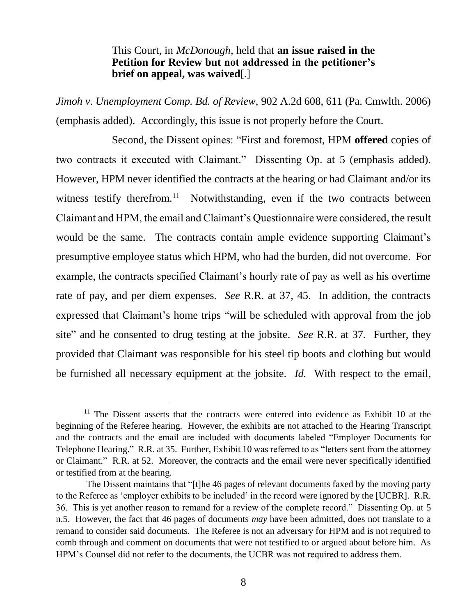#### This Court, in *[McDonough,](https://1.next.westlaw.com/Link/Document/FullText?findType=Y&serNum=1996038734&originatingDoc=I84d941650ceb11dbaaf9821ce89a3430&refType=RP&originationContext=document&transitionType=DocumentItem&contextData=(sc.Keycite))* held that **[an issue raised in the](https://1.next.westlaw.com/Link/Document/FullText?findType=Y&serNum=1996038734&originatingDoc=I84d941650ceb11dbaaf9821ce89a3430&refType=RP&originationContext=document&transitionType=DocumentItem&contextData=(sc.Keycite))  [Petition for Review but not addressed in the petitioner's](https://1.next.westlaw.com/Link/Document/FullText?findType=Y&serNum=1996038734&originatingDoc=I84d941650ceb11dbaaf9821ce89a3430&refType=RP&originationContext=document&transitionType=DocumentItem&contextData=(sc.Keycite))  [brief on appeal, was waived](https://1.next.westlaw.com/Link/Document/FullText?findType=Y&serNum=1996038734&originatingDoc=I84d941650ceb11dbaaf9821ce89a3430&refType=RP&originationContext=document&transitionType=DocumentItem&contextData=(sc.Keycite))**[.]

*Jimoh v. Unemployment Comp. Bd. of Review,* 902 A.2d 608, 611 (Pa. Cmwlth. 2006) (emphasis added). Accordingly, this issue is not properly before the Court.

Second, the Dissent opines: "First and foremost, HPM **offered** copies of two contracts it executed with Claimant." Dissenting Op. at 5 (emphasis added). However, HPM never identified the contracts at the hearing or had Claimant and/or its witness testify therefrom.<sup>11</sup> Notwithstanding, even if the two contracts between Claimant and HPM, the email and Claimant's Questionnaire were considered, the result would be the same. The contracts contain ample evidence supporting Claimant's presumptive employee status which HPM, who had the burden, did not overcome. For example, the contracts specified Claimant's hourly rate of pay as well as his overtime rate of pay, and per diem expenses. *See* R.R. at 37, 45. In addition, the contracts expressed that Claimant's home trips "will be scheduled with approval from the job site" and he consented to drug testing at the jobsite. *See* R.R. at 37*.* Further, they provided that Claimant was responsible for his steel tip boots and clothing but would be furnished all necessary equipment at the jobsite. *Id.* With respect to the email,

 $11$  The Dissent asserts that the contracts were entered into evidence as Exhibit 10 at the beginning of the Referee hearing. However, the exhibits are not attached to the Hearing Transcript and the contracts and the email are included with documents labeled "Employer Documents for Telephone Hearing." R.R. at 35. Further, Exhibit 10 was referred to as "letters sent from the attorney or Claimant." R.R. at 52. Moreover, the contracts and the email were never specifically identified or testified from at the hearing.

The Dissent maintains that "[t]he 46 pages of relevant documents faxed by the moving party to the Referee as 'employer exhibits to be included' in the record were ignored by the [UCBR]. R.R. 36. This is yet another reason to remand for a review of the complete record." Dissenting Op. at 5 n.5. However, the fact that 46 pages of documents *may* have been admitted, does not translate to a remand to consider said documents. The Referee is not an adversary for HPM and is not required to comb through and comment on documents that were not testified to or argued about before him. As HPM's Counsel did not refer to the documents, the UCBR was not required to address them.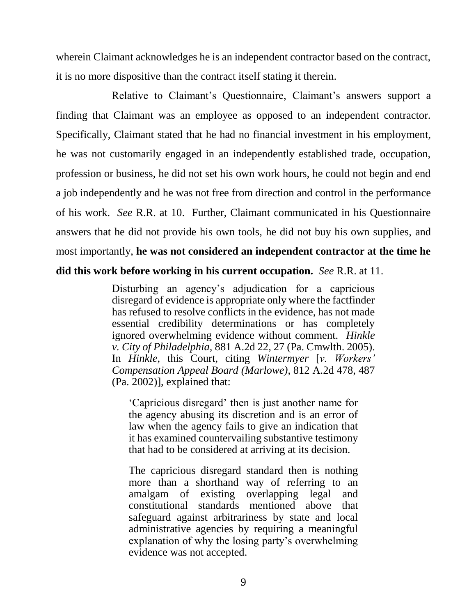wherein Claimant acknowledges he is an independent contractor based on the contract, it is no more dispositive than the contract itself stating it therein.

Relative to Claimant's Questionnaire, Claimant's answers support a finding that Claimant was an employee as opposed to an independent contractor. Specifically, Claimant stated that he had no financial investment in his employment, he was not customarily engaged in an independently established trade, occupation, profession or business, he did not set his own work hours, he could not begin and end a job independently and he was not free from direction and control in the performance of his work. *See* R.R. at 10. Further, Claimant communicated in his Questionnaire answers that he did not provide his own tools, he did not buy his own supplies, and most importantly, **he was not considered an independent contractor at the time he did this work before working in his current occupation.** *See* R.R. at 11.

> Disturbing an agency's adjudication for a capricious disregard of evidence is appropriate only where the factfinder has refused to resolve conflicts in the evidence, has not made essential credibility determinations or has completely ignored overwhelming evidence without comment. *[Hinkle](https://1.next.westlaw.com/Link/Document/FullText?findType=Y&serNum=2007143023&pubNum=0000162&originatingDoc=Idbb847b7d37c11e4a795ac035416da91&refType=RP&fi=co_pp_sp_162_27&originationContext=document&transitionType=DocumentItem&contextData=(sc.UserEnteredCitation)#co_pp_sp_162_27)  v. City of Philadelphia,* [881 A.2d 22, 27 \(Pa. Cmwlth. 2005\).](https://1.next.westlaw.com/Link/Document/FullText?findType=Y&serNum=2007143023&pubNum=0000162&originatingDoc=Idbb847b7d37c11e4a795ac035416da91&refType=RP&fi=co_pp_sp_162_27&originationContext=document&transitionType=DocumentItem&contextData=(sc.UserEnteredCitation)#co_pp_sp_162_27) In *Hinkle,* this Court, citing *Wintermyer* [*[v. Workers'](https://1.next.westlaw.com/Link/Document/FullText?findType=Y&serNum=2002767725&pubNum=0000162&originatingDoc=Idbb847b7d37c11e4a795ac035416da91&refType=RP&fi=co_pp_sp_162_487&originationContext=document&transitionType=DocumentItem&contextData=(sc.UserEnteredCitation)#co_pp_sp_162_487)  Compensation [Appeal Board \(Marlowe\)](https://1.next.westlaw.com/Link/Document/FullText?findType=Y&serNum=2002767725&pubNum=0000162&originatingDoc=Idbb847b7d37c11e4a795ac035416da91&refType=RP&fi=co_pp_sp_162_487&originationContext=document&transitionType=DocumentItem&contextData=(sc.UserEnteredCitation)#co_pp_sp_162_487)*, 812 A.2d 478, 487 [\(Pa. 2002\)\]](https://1.next.westlaw.com/Link/Document/FullText?findType=Y&serNum=2002767725&pubNum=0000162&originatingDoc=Idbb847b7d37c11e4a795ac035416da91&refType=RP&fi=co_pp_sp_162_487&originationContext=document&transitionType=DocumentItem&contextData=(sc.UserEnteredCitation)#co_pp_sp_162_487), explained that:

'Capricious disregard' then is just another name for the agency abusing its discretion and is an error of law when the agency fails to give an indication that it has examined countervailing substantive testimony that had to be considered at arriving at its decision.

The capricious disregard standard then is nothing more than a shorthand way of referring to an amalgam of existing overlapping legal and constitutional standards mentioned above that safeguard against arbitrariness by state and local administrative agencies by requiring a meaningful explanation of why the losing party's overwhelming evidence was not accepted.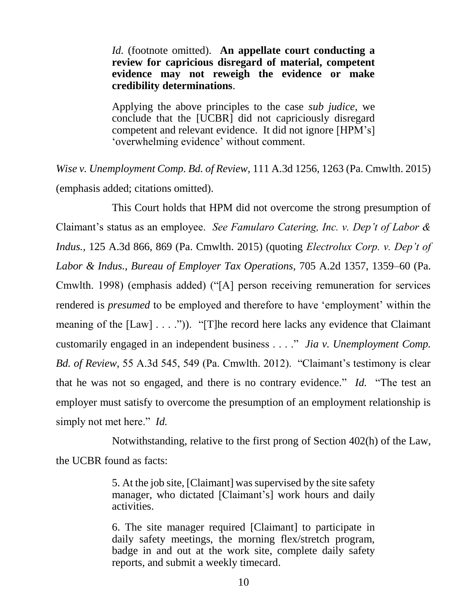*Id.* (footnote omitted). **An appellate court conducting a review for capricious disregard of material, competent evidence may not reweigh the evidence or make credibility determinations**.

Applying the above principles to the case *sub judice,* we conclude that the [UCBR] did not capriciously disregard competent and relevant evidence. It did not ignore [HPM's] 'overwhelming evidence' without comment.

*Wise v. Unemployment Comp. Bd. of Review,* 111 A.3d 1256, 1263 (Pa. Cmwlth. 2015) (emphasis added; citations omitted).

This Court holds that HPM did not overcome the strong presumption of Claimant's status as an employee. *See Famularo Catering, Inc. v. Dep't of Labor & Indus.,* 125 A.3d 866, 869 (Pa. Cmwlth. 2015) (quoting *Electrolux Corp. v. Dep't of Labor & Indus., Bureau of Employer Tax Operations,* 705 A.2d 1357, 1359–60 (Pa. Cmwlth. 1998) (emphasis added) ("[A] person receiving remuneration for services rendered is *presumed* to be employed and therefore to have 'employment' within the meaning of the [Law] . . . .")). "[T]he record here lacks any evidence that Claimant customarily engaged in an independent business . . . ." *Jia v. Unemployment Comp. Bd. of Review,* 55 A.3d 545, 549 (Pa. Cmwlth. 2012). "Claimant's testimony is clear that he was not so engaged, and there is no contrary evidence." *Id.* "The test an employer must satisfy to overcome the presumption of an employment relationship is simply not met here." *Id.*

Notwithstanding, relative to the first prong of Section 402(h) of the Law, the UCBR found as facts:

> 5. At the job site, [Claimant] was supervised by the site safety manager, who dictated [Claimant's] work hours and daily activities.

> 6. The site manager required [Claimant] to participate in daily safety meetings, the morning flex/stretch program, badge in and out at the work site, complete daily safety reports, and submit a weekly timecard.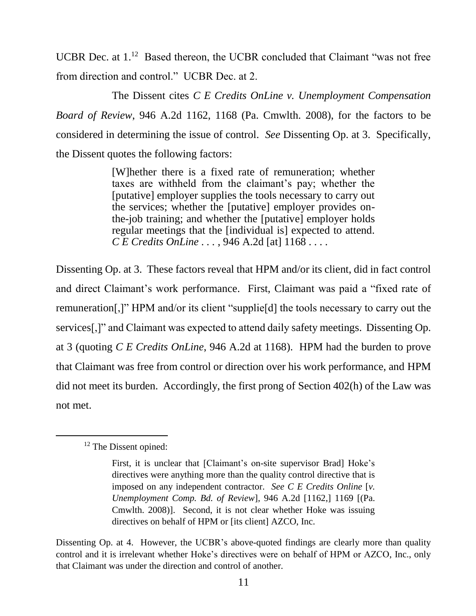UCBR Dec. at 1.<sup>12</sup> Based thereon, the UCBR concluded that Claimant "was not free from direction and control." UCBR Dec. at 2.

The Dissent cites *C E Credits OnLine v. Unemployment Compensation Board of Review*, 946 A.2d 1162, 1168 (Pa. Cmwlth. 2008), for the factors to be considered in determining the issue of control. *See* Dissenting Op. at 3. Specifically, the Dissent quotes the following factors:

> [W]hether there is a fixed rate of remuneration; whether taxes are withheld from the claimant's pay; whether the [putative] employer supplies the tools necessary to carry out the services; whether the [putative] employer provides onthe-job training; and whether the [putative] employer holds regular meetings that the [individual is] expected to attend. *C E Credits OnLine . . .* , 946 A.2d [at] 1168 . . . .

Dissenting Op. at 3. These factors reveal that HPM and/or its client, did in fact control and direct Claimant's work performance. First, Claimant was paid a "fixed rate of remuneration[,]" HPM and/or its client "supplie[d] the tools necessary to carry out the services[,]" and Claimant was expected to attend daily safety meetings. Dissenting Op. at 3 (quoting *C E Credits OnLine*, 946 A.2d at 1168). HPM had the burden to prove that Claimant was free from control or direction over his work performance, and HPM did not meet its burden. Accordingly, the first prong of Section 402(h) of the Law was not met.

 $\overline{a}$ 

Dissenting Op. at 4. However, the UCBR's above-quoted findings are clearly more than quality control and it is irrelevant whether Hoke's directives were on behalf of HPM or AZCO, Inc., only that Claimant was under the direction and control of another.

<sup>&</sup>lt;sup>12</sup> The Dissent opined:

First, it is unclear that [Claimant's on-site supervisor Brad] Hoke's directives were anything more than the quality control directive that is imposed on any independent contractor. *See C E Credits Online* [*v. Unemployment Comp. Bd. of Review*]*,* 946 A.2d [1162,] 1169 [(Pa. Cmwlth. 2008)]. Second, it is not clear whether Hoke was issuing directives on behalf of HPM or [its client] AZCO, Inc.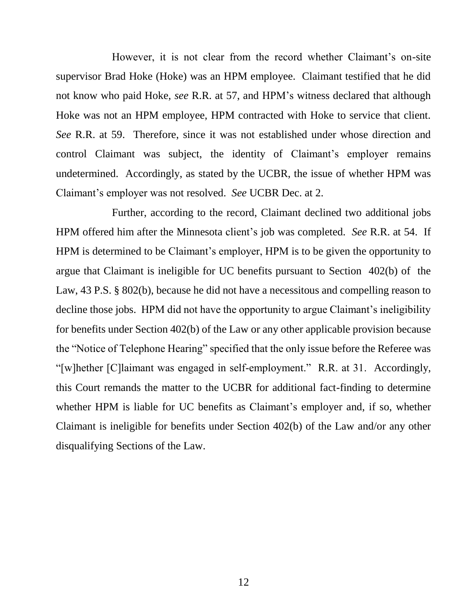However, it is not clear from the record whether Claimant's on-site supervisor Brad Hoke (Hoke) was an HPM employee. Claimant testified that he did not know who paid Hoke, *see* R.R. at 57, and HPM's witness declared that although Hoke was not an HPM employee, HPM contracted with Hoke to service that client. *See* R.R. at 59. Therefore, since it was not established under whose direction and control Claimant was subject, the identity of Claimant's employer remains undetermined. Accordingly, as stated by the UCBR, the issue of whether HPM was Claimant's employer was not resolved. *See* UCBR Dec. at 2.

Further, according to the record, Claimant declined two additional jobs HPM offered him after the Minnesota client's job was completed. *See* R.R. at 54. If HPM is determined to be Claimant's employer, HPM is to be given the opportunity to argue that Claimant is ineligible for UC benefits pursuant to Section 402(b) of the Law, 43 P.S. § 802(b), because he did not have a necessitous and compelling reason to decline those jobs. HPM did not have the opportunity to argue Claimant's ineligibility for benefits under Section 402(b) of the Law or any other applicable provision because the "Notice of Telephone Hearing" specified that the only issue before the Referee was "[w]hether [C]laimant was engaged in self-employment." R.R. at 31. Accordingly, this Court remands the matter to the UCBR for additional fact-finding to determine whether HPM is liable for UC benefits as Claimant's employer and, if so, whether Claimant is ineligible for benefits under Section 402(b) of the Law and/or any other disqualifying Sections of the Law.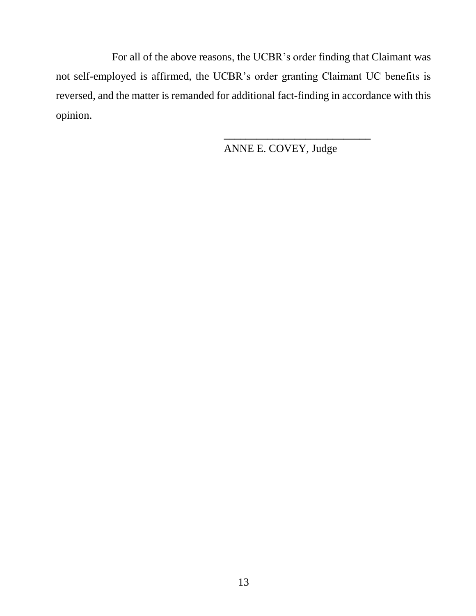For all of the above reasons, the UCBR's order finding that Claimant was not self-employed is affirmed, the UCBR's order granting Claimant UC benefits is reversed, and the matter is remanded for additional fact-finding in accordance with this opinion.

ANNE E. COVEY, Judge

**\_\_\_\_\_\_\_\_\_\_\_\_\_\_\_\_\_\_\_\_\_\_\_\_\_\_\_**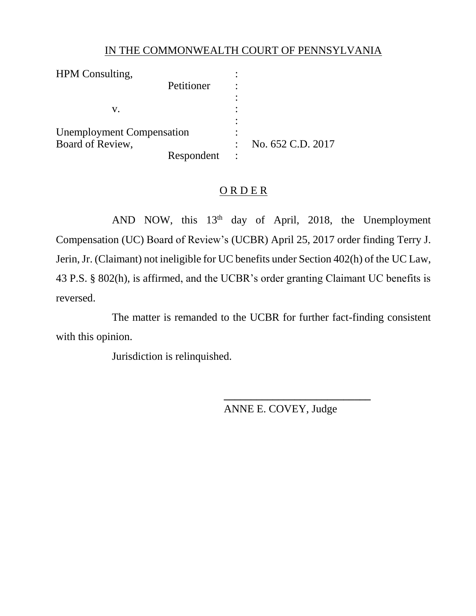## IN THE COMMONWEALTH COURT OF PENNSYLVANIA

| HPM Consulting,                  |            |                   |
|----------------------------------|------------|-------------------|
|                                  | Petitioner |                   |
|                                  |            |                   |
| V.                               |            |                   |
|                                  |            |                   |
| <b>Unemployment Compensation</b> |            |                   |
| Board of Review,                 |            | No. 652 C.D. 2017 |
|                                  | Respondent |                   |

## ORDER<sub></sub>

AND NOW, this 13<sup>th</sup> day of April, 2018, the Unemployment Compensation (UC) Board of Review's (UCBR) April 25, 2017 order finding Terry J. Jerin, Jr. (Claimant) not ineligible for UC benefits under Section 402(h) of the UC Law, 43 P.S. § 802(h), is affirmed, and the UCBR's order granting Claimant UC benefits is reversed.

The matter is remanded to the UCBR for further fact-finding consistent with this opinion.

Jurisdiction is relinquished.

ANNE E. COVEY, Judge

**\_\_\_\_\_\_\_\_\_\_\_\_\_\_\_\_\_\_\_\_\_\_\_\_\_\_\_**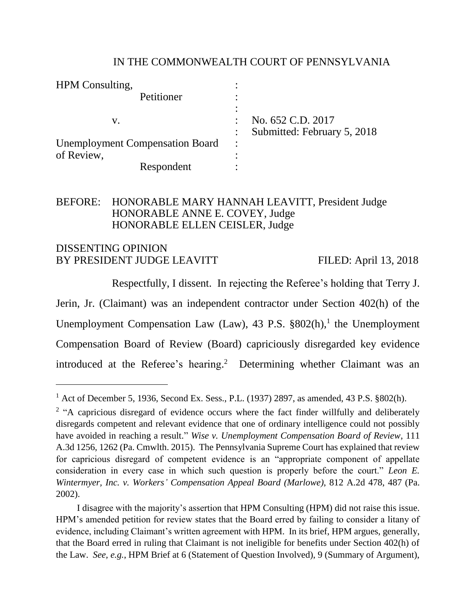#### IN THE COMMONWEALTH COURT OF PENNSYLVANIA

| HPM Consulting,                        |  |                             |
|----------------------------------------|--|-----------------------------|
| Petitioner                             |  |                             |
|                                        |  |                             |
| V.                                     |  | No. 652 C.D. 2017           |
|                                        |  | Submitted: February 5, 2018 |
| <b>Unemployment Compensation Board</b> |  |                             |
| of Review,                             |  |                             |
| Respondent                             |  |                             |

## BEFORE: HONORABLE MARY HANNAH LEAVITT, President Judge HONORABLE ANNE E. COVEY, Judge HONORABLE ELLEN CEISLER, Judge

## DISSENTING OPINION BY PRESIDENT JUDGE LEAVITT FILED: April 13, 2018

 $\overline{a}$ 

Respectfully, I dissent. In rejecting the Referee's holding that Terry J. Jerin, Jr. (Claimant) was an independent contractor under Section 402(h) of the Unemployment Compensation Law (Law), 43 P.S.  $\S 802(h)$ ,<sup>1</sup> the Unemployment Compensation Board of Review (Board) capriciously disregarded key evidence introduced at the Referee's hearing. 2 Determining whether Claimant was an

<sup>1</sup> Act of December 5, 1936, Second Ex. Sess., P.L. (1937) 2897, as amended, 43 P.S. §802(h).

 $2$  "A capricious disregard of evidence occurs where the fact finder willfully and deliberately disregards competent and relevant evidence that one of ordinary intelligence could not possibly have avoided in reaching a result." *Wise v. Unemployment Compensation Board of Review*, 111 A.3d 1256, 1262 (Pa. Cmwlth. 2015). The Pennsylvania Supreme Court has explained that review for capricious disregard of competent evidence is an "appropriate component of appellate consideration in every case in which such question is properly before the court." *Leon E. Wintermyer, Inc. v. Workers' Compensation Appeal Board (Marlowe)*, 812 A.2d 478, 487 (Pa. 2002).

I disagree with the majority's assertion that HPM Consulting (HPM) did not raise this issue. HPM's amended petition for review states that the Board erred by failing to consider a litany of evidence, including Claimant's written agreement with HPM. In its brief, HPM argues, generally, that the Board erred in ruling that Claimant is not ineligible for benefits under Section 402(h) of the Law. *See, e.g.*, HPM Brief at 6 (Statement of Question Involved), 9 (Summary of Argument),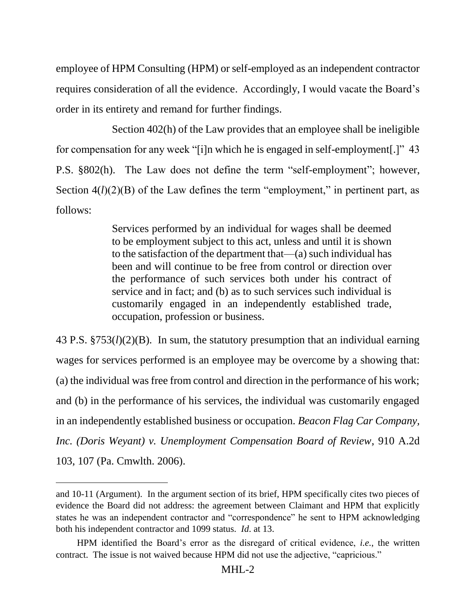employee of HPM Consulting (HPM) or self-employed as an independent contractor requires consideration of all the evidence. Accordingly, I would vacate the Board's order in its entirety and remand for further findings.

Section 402(h) of the Law provides that an employee shall be ineligible for compensation for any week "[i]n which he is engaged in self-employment[.]" 43 P.S. §802(h). The Law does not define the term "self-employment"; however, Section  $4*(l)(2)(B)*$  of the Law defines the term "employment," in pertinent part, as follows:

> Services performed by an individual for wages shall be deemed to be employment subject to this act, unless and until it is shown to the satisfaction of the department that—(a) such individual has been and will continue to be free from control or direction over the performance of such services both under his contract of service and in fact; and (b) as to such services such individual is customarily engaged in an independently established trade, occupation, profession or business.

43 P.S. §753(*l*)(2)(B). In sum, the statutory presumption that an individual earning wages for services performed is an employee may be overcome by a showing that: (a) the individual was free from control and direction in the performance of his work; and (b) in the performance of his services, the individual was customarily engaged in an independently established business or occupation. *Beacon Flag Car Company, Inc. (Doris Weyant) v. Unemployment Compensation Board of Review*, 910 A.2d 103, 107 (Pa. Cmwlth. 2006).

and 10-11 (Argument). In the argument section of its brief, HPM specifically cites two pieces of evidence the Board did not address: the agreement between Claimant and HPM that explicitly states he was an independent contractor and "correspondence" he sent to HPM acknowledging both his independent contractor and 1099 status. *Id*. at 13.

HPM identified the Board's error as the disregard of critical evidence, *i.e.*, the written contract. The issue is not waived because HPM did not use the adjective, "capricious."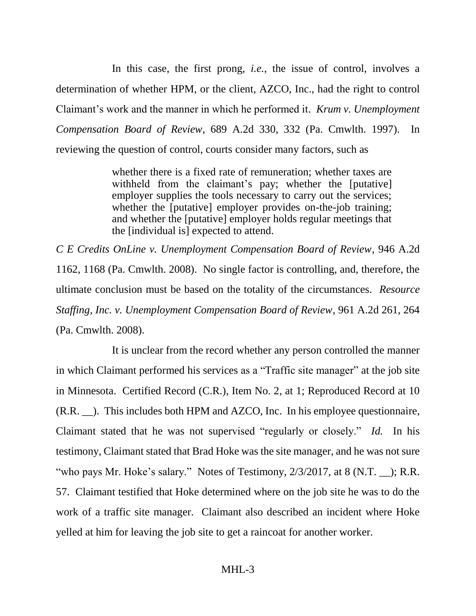In this case, the first prong, *i.e.*, the issue of control, involves a determination of whether HPM, or the client, AZCO, Inc., had the right to control Claimant's work and the manner in which he performed it. *Krum v. Unemployment Compensation Board of Review*, 689 A.2d 330, 332 (Pa. Cmwlth. 1997). In reviewing the question of control, courts consider many factors, such as

> whether there is a fixed rate of remuneration; whether taxes are withheld from the claimant's pay; whether the [putative] employer supplies the tools necessary to carry out the services; whether the [putative] employer provides on-the-job training; and whether the [putative] employer holds regular meetings that the [individual is] expected to attend.

*C E Credits OnLine v. Unemployment Compensation Board of Review*, 946 A.2d 1162, 1168 (Pa. Cmwlth. 2008). No single factor is controlling, and, therefore, the ultimate conclusion must be based on the totality of the circumstances. *Resource Staffing, Inc. v. Unemployment Compensation Board of Review*, 961 A.2d 261, 264 (Pa. Cmwlth. 2008).

It is unclear from the record whether any person controlled the manner in which Claimant performed his services as a "Traffic site manager" at the job site in Minnesota. Certified Record (C.R.), Item No. 2, at 1; Reproduced Record at 10 (R.R. \_\_). This includes both HPM and AZCO, Inc. In his employee questionnaire, Claimant stated that he was not supervised "regularly or closely." *Id.* In his testimony, Claimant stated that Brad Hoke was the site manager, and he was not sure "who pays Mr. Hoke's salary." Notes of Testimony, 2/3/2017, at 8 (N.T. \_); R.R. 57. Claimant testified that Hoke determined where on the job site he was to do the work of a traffic site manager. Claimant also described an incident where Hoke yelled at him for leaving the job site to get a raincoat for another worker.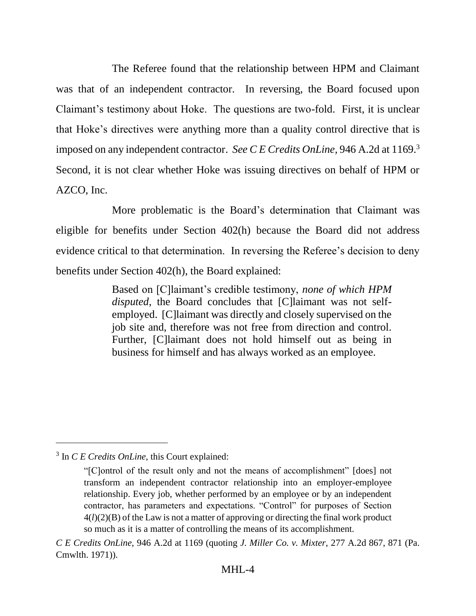The Referee found that the relationship between HPM and Claimant was that of an independent contractor. In reversing, the Board focused upon Claimant's testimony about Hoke. The questions are two-fold. First, it is unclear that Hoke's directives were anything more than a quality control directive that is imposed on any independent contractor. *See C E Credits OnLine,* 946 A.2d at 1169.<sup>3</sup> Second, it is not clear whether Hoke was issuing directives on behalf of HPM or AZCO, Inc.

More problematic is the Board's determination that Claimant was eligible for benefits under Section 402(h) because the Board did not address evidence critical to that determination. In reversing the Referee's decision to deny benefits under Section 402(h), the Board explained:

> Based on [C]laimant's credible testimony, *none of which HPM disputed*, the Board concludes that [C]laimant was not selfemployed. [C]laimant was directly and closely supervised on the job site and, therefore was not free from direction and control. Further, [C]laimant does not hold himself out as being in business for himself and has always worked as an employee.

<sup>3</sup> In *C E Credits OnLine*, this Court explained:

<sup>&</sup>quot;[C]ontrol of the result only and not the means of accomplishment" [does] not transform an independent contractor relationship into an employer-employee relationship. Every job, whether performed by an employee or by an independent contractor, has parameters and expectations. "Control" for purposes of Section 4(*l*)(2)(B) of the Law is not a matter of approving or directing the final work product so much as it is a matter of controlling the means of its accomplishment.

*C E Credits OnLine*, 946 A.2d at 1169 (quoting *J. Miller Co. v. Mixter*, 277 A.2d 867, 871 (Pa. Cmwlth. 1971)).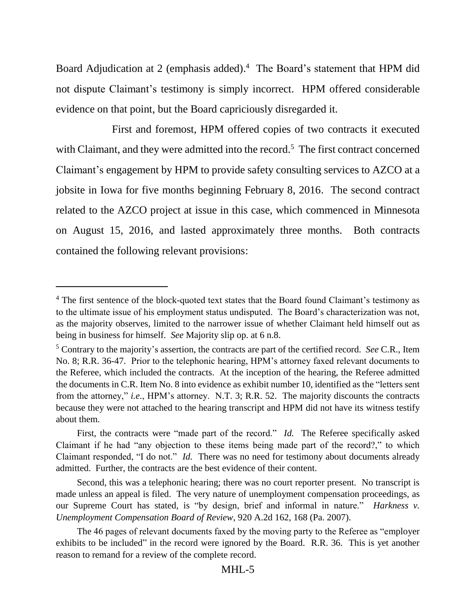Board Adjudication at 2 (emphasis added). 4 The Board's statement that HPM did not dispute Claimant's testimony is simply incorrect. HPM offered considerable evidence on that point, but the Board capriciously disregarded it.

First and foremost, HPM offered copies of two contracts it executed with Claimant, and they were admitted into the record.<sup>5</sup> The first contract concerned Claimant's engagement by HPM to provide safety consulting services to AZCO at a jobsite in Iowa for five months beginning February 8, 2016. The second contract related to the AZCO project at issue in this case, which commenced in Minnesota on August 15, 2016, and lasted approximately three months. Both contracts contained the following relevant provisions:

<sup>&</sup>lt;sup>4</sup> The first sentence of the block-quoted text states that the Board found Claimant's testimony as to the ultimate issue of his employment status undisputed. The Board's characterization was not, as the majority observes, limited to the narrower issue of whether Claimant held himself out as being in business for himself. *See* Majority slip op. at 6 n.8.

<sup>5</sup> Contrary to the majority's assertion, the contracts are part of the certified record. *See* C.R., Item No. 8; R.R. 36-47. Prior to the telephonic hearing, HPM's attorney faxed relevant documents to the Referee, which included the contracts. At the inception of the hearing, the Referee admitted the documents in C.R. Item No. 8 into evidence as exhibit number 10, identified as the "letters sent from the attorney," *i.e.*, HPM's attorney. N.T. 3; R.R. 52. The majority discounts the contracts because they were not attached to the hearing transcript and HPM did not have its witness testify about them.

First, the contracts were "made part of the record." *Id.* The Referee specifically asked Claimant if he had "any objection to these items being made part of the record?," to which Claimant responded, "I do not." *Id.* There was no need for testimony about documents already admitted. Further, the contracts are the best evidence of their content.

Second, this was a telephonic hearing; there was no court reporter present. No transcript is made unless an appeal is filed. The very nature of unemployment compensation proceedings, as our Supreme Court has stated, is "by design, brief and informal in nature." *Harkness v. Unemployment Compensation Board of Review*, 920 A.2d 162, 168 (Pa. 2007).

The 46 pages of relevant documents faxed by the moving party to the Referee as "employer exhibits to be included" in the record were ignored by the Board. R.R. 36. This is yet another reason to remand for a review of the complete record.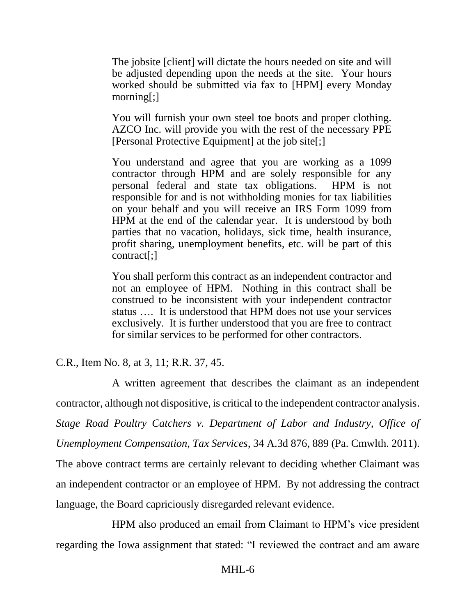The jobsite [client] will dictate the hours needed on site and will be adjusted depending upon the needs at the site. Your hours worked should be submitted via fax to [HPM] every Monday morning[;]

You will furnish your own steel toe boots and proper clothing. AZCO Inc. will provide you with the rest of the necessary PPE [Personal Protective Equipment] at the job site[;]

You understand and agree that you are working as a 1099 contractor through HPM and are solely responsible for any personal federal and state tax obligations. HPM is not responsible for and is not withholding monies for tax liabilities on your behalf and you will receive an IRS Form 1099 from HPM at the end of the calendar year. It is understood by both parties that no vacation, holidays, sick time, health insurance, profit sharing, unemployment benefits, etc. will be part of this contract[;]

You shall perform this contract as an independent contractor and not an employee of HPM. Nothing in this contract shall be construed to be inconsistent with your independent contractor status …. It is understood that HPM does not use your services exclusively. It is further understood that you are free to contract for similar services to be performed for other contractors.

C.R., Item No. 8, at 3, 11; R.R. 37, 45.

A written agreement that describes the claimant as an independent contractor, although not dispositive, is critical to the independent contractor analysis. *Stage Road Poultry Catchers v. Department of Labor and Industry, Office of Unemployment Compensation, Tax Services*, 34 A.3d 876, 889 (Pa. Cmwlth. 2011). The above contract terms are certainly relevant to deciding whether Claimant was an independent contractor or an employee of HPM. By not addressing the contract language, the Board capriciously disregarded relevant evidence.

HPM also produced an email from Claimant to HPM's vice president regarding the Iowa assignment that stated: "I reviewed the contract and am aware